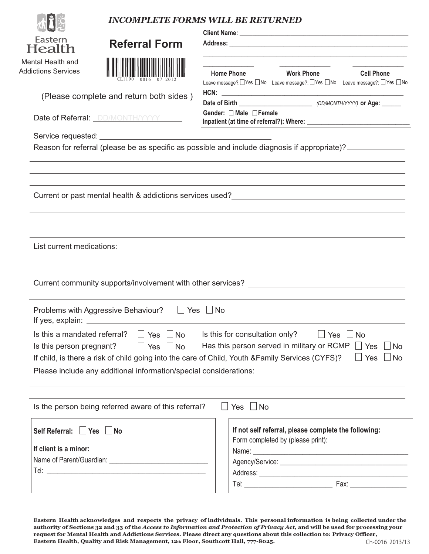|                                                                                                                                                         | <b>INCOMPLETE FORMS WILL BE RETURNED</b>                                                                                                                                                                                                                                                           |
|---------------------------------------------------------------------------------------------------------------------------------------------------------|----------------------------------------------------------------------------------------------------------------------------------------------------------------------------------------------------------------------------------------------------------------------------------------------------|
| Eastern<br><b>Referral Form</b><br>Health                                                                                                               |                                                                                                                                                                                                                                                                                                    |
| Mental Health and                                                                                                                                       | the control of the control of the control of the control of the control of the control of the control of the control of the control of the control of the control of the control of the control of the control of the control                                                                      |
| <b>Addictions Services</b>                                                                                                                              | <b>Home Phone</b><br><b>Work Phone</b><br><b>Cell Phone</b><br>Leave message?:□Yes □No Leave message?:□Yes □No Leave message?: □Yes □No                                                                                                                                                            |
| (Please complete and return both sides)                                                                                                                 |                                                                                                                                                                                                                                                                                                    |
| Date of Referral: <i>DD/MONTH/YYYY</i>                                                                                                                  | Gender: □ Male □ Female                                                                                                                                                                                                                                                                            |
|                                                                                                                                                         |                                                                                                                                                                                                                                                                                                    |
|                                                                                                                                                         | Reason for referral (please be as specific as possible and include diagnosis if appropriate)?                                                                                                                                                                                                      |
|                                                                                                                                                         | Current or past mental health & addictions services used?<br><u>Letter and a contract and a contract and a contract a</u> contract and a contract a contract a contract and a contr                                                                                                                |
|                                                                                                                                                         | Current community supports/involvement with other services? _____________________                                                                                                                                                                                                                  |
| Problems with Aggressive Behaviour?<br>If yes, explain:                                                                                                 | Yes   No                                                                                                                                                                                                                                                                                           |
| Is this a mandated referral?<br>$\vert$ Yes $\vert$ No<br>Is this person pregnant?<br>Please include any additional information/special considerations: | Is this for consultation only?<br>$\Box$ Yes $\Box$ No<br>$\Box$ Yes $\Box$ No<br>Has this person served in military or RCMP $\Box$ Yes<br>$\blacksquare$ No<br>$\Box$ Yes<br>$\blacksquare$ No<br>If child, is there a risk of child going into the care of Child, Youth &Family Services (CYFS)? |
| Is the person being referred aware of this referral?                                                                                                    | Yes $\Box$ No<br>$\perp$                                                                                                                                                                                                                                                                           |
| Self Referral: Yes No<br>If client is a minor:                                                                                                          | If not self referral, please complete the following:<br>Form completed by (please print):                                                                                                                                                                                                          |

Ch-0016 2013/13 **Eastern Health acknowledges and respects the privacy of individuals. This personal information is being collected under the** authority of Sections 32 and 33 of the Access to Information and Protection of Privacy Act, and will be used for processing your **request for Mental Health and Addictions Services. Please direct any questions about this collection to: Privacy Officer,** Eastern Health, Quality and Risk Management, 12th Floor, Southcott Hall, 777-8025.